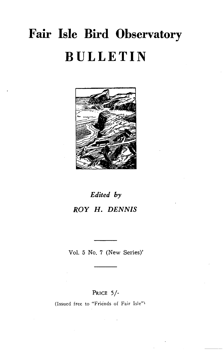# **Fair Isle Bird Observatory BULLETIN**



# *Edited by ROY* **H.** *DENNIS*

Vol. 5 No. 7 (New Series)'

### PRICE 5/-

(Issued free to "Friends of Fair Isle")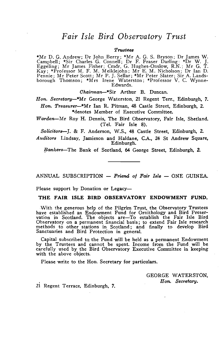### *Fair Isle Bird Observatory Trust*

#### *T'I'U8tee8*

\*Mr D. G. Andrew; Dr John Berry; \*Mr A. G. S. Bryson; Dr James W. Camp bell ; \*Sir Charles G. Connell; Dr F. Fraser Darling: \*Dr W. J. Eggeling; Mr James Fisher; Cmdr. G. Hughes-Onslow, R.N.; Mr G. T. Kay; \*Professor M. F. M. Meiklejohn; Mr E. M. Nicholson; Dr Ian D. Pennie; Mr Peter Scott; Mr P. J. Sellar; \*Mr Peter Slater; Sir A. Landsborough Thomson; \*Mrs Irene Waterston; \*Professor V. C. Wynne-Edwards.

*Chairman-\*Sir* Arthur B. Duncan.

*Hon. Secretary-*-\*Mr George Waterston, 21 Regent Terr., Edinburgh, 7. *Hon. Trea8urer-\*Mr* Ian R. Pitman, 48 Castle Street, Edinburgh, 2. \*denotes Member of Executive Committee.

*Warden-Mr* Roy H. Dennis, The Bird Observatory, Fair Isle, Shetland. (Tel. Fair Isle 8).

*Solicitors-J.* & F. Anderson, W.S., 48 Castle Street, Edinburgh, 2.

*Auditors* Lindsay, Jamieson and Haldane, c.A., 24 St Andrew Square, Edinburgh.

*Bankers-The* Bank of Scotland, 64 George Street, Edinburgh, 2.

ANNUAL SUBSCRIPTION - Friend of Fair Isle - ONE GUINEA.

Please support by Donation or Legacy-

#### **THE FAIR ISLE BIRD OBSERVATORY ENDOWMENT FUND.**

With the generous help of the Pilgrim Trust, the Observatory Trustees have established an Endowment Fund for Ornithology and Bird Preser-vation in Scotland. The objects are-To establish the Fair Isle Bird Observatory on a permanent financial basis; to extend Fair Isle research methods to other stations in Scotland; and finally to develop Bird Sanctuaries and Bird Protection in general.

Capital subscribed to. the Fund will be held as a permanent Endowment by the Trustees and cannot be spent. Income from the Fund will be carefully used by the Bird Observatory Executive Committee in keeping with the above objects.

Please write to the Hon. Secretary for particulars.

GEORGE WATERSTON, *Hon. Secretary .* 

. 21 Regent Terrace. Edinburgh, 7.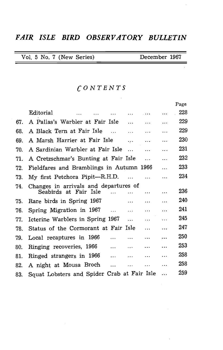### *FAIR ISLE BIRD OBSERVATORY BULLETIN*

| December 1967<br>Vol. 5 No. 7 (New Series) |  |
|--------------------------------------------|--|
|--------------------------------------------|--|

the control of the control of the

### *CONTENTS*

|     |                                                                |          | Page |
|-----|----------------------------------------------------------------|----------|------|
|     | Editorial<br>$\sim$ $\sim$ $\sim$ $\sim$<br>$\cdots$           | $\cdots$ | 228  |
| 67. | A Pallas's Warbler at Fair Isle<br>$\cdots$<br>$\cdots$        | .        | 229  |
| 68. | A Black Tern at Fair Isle<br>$\cdots$<br>$\cdots$              | .        | 229  |
| 69. | A Marsh Harrier at Fair Isle<br>$\cdots$<br>$\cdots$           | .        | 230  |
| 70. | A Sardinian Warbler at Fair Isle<br>$\cdots$<br>$\ddotsc$      | $\cdots$ | 231  |
| 71. | A Cretzschmar's Bunting at Fair Isle<br>$\ddotsc$              | .        | 232  |
| 72. | Fieldfares and Bramblings in Autumn 1966                       | .        | 233  |
| 73. | My first Petchora Pipit-R.H.D.<br>$\cdots$                     | .        | 234  |
| 74. | Changes in arrivals and departures of<br>Seabirds at Fair Isle | .        | 236  |
|     |                                                                |          |      |
| 75. | Rare birds in Spring 1967<br>$\cdots$<br>.                     | .        | 240  |
| 76. | Spring Migration in 1967<br>$\cdots$<br>$\cdots$               | .        | 241  |
| 77. | Icterine Warblers in Spring 1967<br>$\cdots$<br>.              | .        | 245  |
| 78. | Status of the Cormorant at Fair Isle<br>$\cdots$               | .        | 247  |
| 79. | Local recaptures in 1966<br>.<br>$\cdots$<br>$\cdots$          | .        | 250  |
| 80. | Ringing recoveries, 1966<br>$\cdots$<br>$\cdots$<br>$\cdots$   | .        | 253  |
| 81. | Ringed strangers in 1966<br>$\cdots$<br>$\cdots$<br>$\cdots$   | .        | 258  |
| 82. | A night at Mousa Broch<br>$\ldots$<br>$\cdots$<br>$\cdots$     | $\cdots$ | 258  |
| 83. | Squat Lobsters and Spider Crab at Fair Isle                    | .        | 259  |

 $\bar{z}$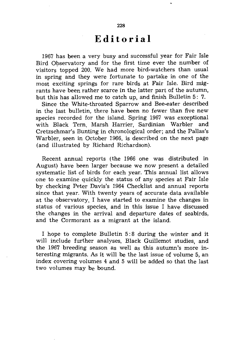### **Editorial**

1967 has been a very busy and successful year for Fair Isle Bird Observatory and for the first time ever the number of visitors topped 200. We had more bird-watchers than usual in spring and they were fortunate to partake in one of the most exciting springs for rare birds at Fair Isle. Bird migrants have been rather scarce in the latter part of the autumn, but this has allowed me to catch up, and finish Bulletin 5: 7.

Since the White-throated Sparrow and Bee-eater described in the last bulletin, there have been no fewer than five new species recorded for the island. Spring 1967 was exceptional with Black Tern, Marsh Harrier, Sardinian Warbler and Cretzschmar's Bunting in chronological order; and the Pallas's Warbler, seen in October 1966, is described on the next page (and illustrated by Richard Richardson).

Recent annual reports (the 1966 one was distributed in August) have been larger because we now present a detailed systematic list of birds for each year. This annual list allows one to examine quickly the status of any species at Fair Isle by checking Peter Davis's 1964 Checklist and annual reports since that year. With twenty years of accurate data available at the observatory, I have started to examine the changes in status of various species, and in this issue I have discussed the changes in the arrival and departure dates of seabirds, and the Cormorant as a migrant at the island.

I hope to complete Bulletin 5: 8 during the winter and it will include further analyses, Black Guillemot studies, and the 1967 breeding season as well as this autumn's more interesting migrants. As it will be the last issue of volume 5, an index covering volumes 4 and 5 will be added so that the last two volumes may be bound.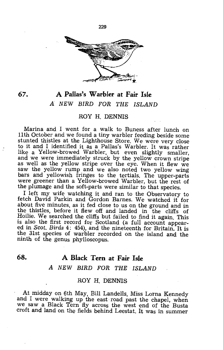

### **67. A PalIas's Warbler at Fair Isle**

### A NEW BIRD FOR THE ISLAND

### ROY H. DENNIS

Marina and I went for a walk to Buness after lunch on 11th October and we found a tiny warbler feeding beside some stunted thistles at the Lighthouse Store. We were very close to it and I identified it as a Pallas's Warbler. It was rather like a Yellow-browed Warbler, but even slightly smaller, and we were immediately struck by the yellow crown stripe as well as the yellow stripe over the eye. When it flew we saw the yellow rump and we also noted two yellow wing bars and yellowish fringes to the tertials. The upper-parts were greener than a Yellow-browed Warbler, but the rest of the plumage and the soft-parts were similar to that species.

I left my wife watching it and ran to the Observatory to fetch David Parkin and Gordon Barnes. We watched it for about five minutes, as it fed close to us on the ground and in the thistles, before it flew off and landed in the cliffs of Hoilie. We searched the cliffs but failed to find it again. This is also the first record for Scotland (a full account appeared in *Scat. Birds* 4: 454), and the nineteenth for Britain. It is the 31st species of warbler recorded on the island and the ninth of the genus phylloscopus.

### **68. A Black Tern at Fair Isle**

### A NEW BIRD FOR THE ISLAND

### ROY H. DENNIS

At midday on 6th May, Bill Landells, Miss Lorna Kennedy and I were walking up the east road past the chapel, when we saw a Black Tern fly across the west end of the Busta croft and land on the fields behind Leestat. It was in summer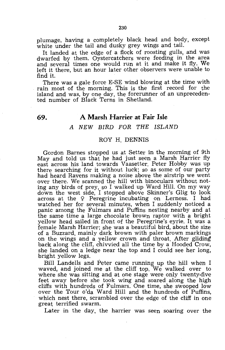plumage, having a completely black head and body, except white under the tail and dusky grey wings and tail.

It landed at the edge of a flock of roosting gulls, and was dwarfed by them. Oystercatchers were feeding in the area and several times one would run at it and make it fly. We left it there, but an hour later other observers were unable to find it.

There was a gale force E-SE wind blowing at the time with rain most of the morning. This is the first record for the island and was, by one day, the forerunner of an unprecedented number of Black Terns in Shetland.

### **69.** A **Marsh Harrier at Fair Isle**

### A NEW BIRD FOR THE ISLAND

### ROY H. DENNIS

Gordon Barnes stopped us at Setter in the morning of 9th May and told us that he had just seen a Marsh Harrier fly east across his land towards Vaasetter. Peter Hobby was up there searching for it without luck; so as some of our party had heard Ravens making a noise above the airstrip we went over there. We scanned the hill with binoculars without noting any birds of prey, so I walked up Ward Hill. On my way down the west side, I stopped above Skinner's Glig to look across at the  $Q$  Peregrine incubating on Lerness. I had watched her for several minutes, when I suddenly noticed a panic among the Fulmars and Puffins nesting nearby and at the same time a large chocolate brown raptor with a bright yellow head sailed in front of the Peregrine's eyrie. It was a female Marsh Harrier; she was a beautiful bird, about the size of a Buzzard, mainly dark brown with paler brown markings on the wings and a yellow crown and throat. After gliding back along the cliff, chivvied all the time by a Hooded Crow, she landed on a ledge near the top and I could see her long, bright yellow legs. .

Bill Landells and Peter came running up the hill when I waved, and joined me at the cliff top. We walked over to where she was sitting and at one stage were only twenty-five feet away before she took wing and soared along the high cliffs with hundreds of Fulmars. One time, she swooped low over the Tour o'da Ward Hill and the hundreds of Puffins, which nest there, scrambled over the edge of the cliff in one great terrified swarm.

Later in the day, the harrier was seen soaring over the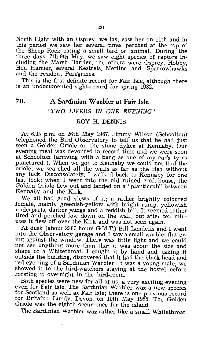North Light with an Osprey; we last saw her on 11th and in this period we saw her several times perched at the top of the Sheep Rock eating a small bird or animal. During the three days, 7th-9th May, we saw eight species of raptors including the Marsh Harrier; the others were Osprey, Hobby, Hen Harrier, several Kestrels, Merlins and Sparrowhawks and the resident Peregrines.

This is the first definite record for Fair Isle, although there is an undocumented sight-record for spring 1932.

### **70. A Sardinian Warbler at Fair Isle**

### *"TWO LIFERS* IN *ONE EVENING"*

### ROY H. DENNIS

At 6.05 p.m. on 26th May 1967, Jimmy Wilson (Schoolton) telephoned the Bird Observatory to tell us that he had just seen a Golden Oriole on the stone dykes at Kennaby. Our evening meal was devoured in record time and we were soon at Schoolton (arriving with a bang as one of my car's tyres punctured!). When we got to Kennaby we could not find the oriole; we searched all the walls as far as the Haa without any luck. Disconsolately, I walked back to Kennaby for one last look; when I went into the old ruined croft-house, the Golden Oriole flew out and landed on a "planticrub" between Kennaby and the Kirk.

We all had good views of it; a rather brightly coloured female, mainly greenish-yellow with bright rump, yellowish underparts, darker wings anq a reddish bill. It seemed rather tired and perched low down on the wall, but after ten minutes it flew off over the Kirk and was not seen again.

At dusk (about 2200 hours G.M.T.) Bill Landells and I went into the Observatory garage and I saw a small warbler fluttering against the window. There was little light and we could not see anything more than that it was about the size and shape of a Whitethroat. I caught it by hand and, taking it outside the building, discovered that it had the black head and red eye-ring of a Sardinian Warbler. It was a young male; we showed it to the bird-watchers staying at the hostel before roosting it overnight in the bird-room.

Both species were new for all of us; a very exciting evening even for Fair Isle. The Sardinian Warbler was a new species for Scotland as well as Fair Isle; there is one previous record for Britain: Lundy, Devon, on 10th May 1955. The Golden Oriole was the eighth occurrence for the island.

The Sardinian Warbler was rather like a small Whitethroat,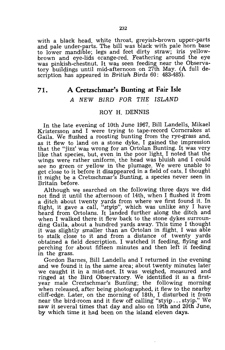with a black head, white throat, greyish-brown upper-parts and pale under-parts. The bill was black with pale horn base to lower mandible; legs and feet dirty straw; iris yellowbrown and eye-lids orange-red. Feathering around the eye was pinkish-chestnut. It was seen feeding near the Observatory buildings until mid-afternoon on 27th May. (A full description has appeared in *British Birds* 60: 483-485).

### **71. A Cretzschmar's Bunting at Fair Isle**

### A NEW BIRD FOR THE ISLAND

### ROY H. DENNIS

In the late evening of 10th June 1967, Bill Landells, Mikael Kristersson and I were trying to tape-record Corncrakes at Gaila. We flushed a roosting bunting from the rye-grass and, as it flew to land on a stone dyke, I gained the impression that the "jizz' was wrong for an Ortolan Bunting. It was very like that species, but, even in the poor light, I noted that the wings were rather uniform, the head was bluish and I could see no green or yellow in the plumage. We were unable to get close to it before it disappeared in a field of oats. I thought it might be a Cretzschmar's Bunting, a species never seen in Britain before.

Although we searched on the following three days we did not find it until the afternoon of 14th, when I flushed it from a ditch about twenty yards from where we first found it. In flight, it gave a call, *"styip",* which was unlike any I have heard from Ortolans. It landed further along the ditch and when I walked there it flew back to the stone dykes surrounding Gaila, about a hundred yards away. This time I thought it was slightly smaller than an Ortolan in flight. I was able to stalk close to it and from a distance of twenty yards obtained a field description. I watched it feeding, flying and perching for about fifteen minutes and then left it feeding in the grass.

Gordon Barnes, Bill Landells and I returned in the evening and we found it in the same area; about twenty minutes later we caught it in a mist-net. It was weighed, measured and ringed at the Bird Observatory. We identified it as a firstyear male Creztschmar's Bunting; the following morning when released, after being photographed, it flew to the nearby cliff-edge. Later, on the morning of 18th, I disturbed it from near the bird-room and it flew off calling "styip ... styip." We saw it several times that day and also on 19th and 20th June, by which time it had been on the island eleven days.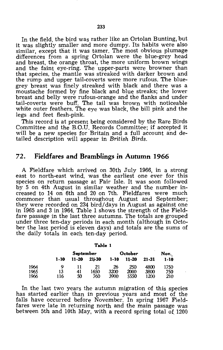In the field, the bird was rather like an Ortolan Bunting, but it was slightly smaller and more dumpy. Its habits were also similar, except that it was tamer. The most obvious plumage differences from a spring Ortolan were the blue-grey head and breast, the orange throat, the more uniform brown wings and the faint eye-ring. The upper-parts were browner than that species, the mantle was streaked with darker brown and the rump and upper tail-coverts were more rufous. The bluegrey breast was finely streaked with black and there was a moustache formed by fine black and blue streaks; the lower breast and belly were rufous-orange and the flanks and under tail-coverts were buff. The tail was brown with noticeable white outer feathers. The eye was black, the bill pink and the legs and feet flesh-pink.

This record is at present being considered by the Rare Birds Committee and the B.O.U. Records Committee; if accepted it will be a new species for Britain and a full account and detailed description will appear in *British Birds.* 

### **72. Fieldfares and Bramblings in Autumn 1966**

A Fieldfare which arrived on 30th July 1966, in a strong east to north-east wind, was the earliest one ever for this species on return passage at Fair Isle. It was soon followed by 5 on 4th August in similar weather and the number increased to 14 on 6th and 20 on 7th. Fieldfares were much commoner than usual throughout August and September; they were recorded on 234 bird/days in August as against one in 1965 and 3 in 1964. Table 1 shows the strength of the Fieldfare passage in the last three autumns. The totals are grouped under three ten-day periods in each month (although in October the last period is eleven days) and totals are the sums of the daily totals in each ten-day period.

| ۰,<br>۰. |  |
|----------|--|
|----------|--|

|      |      | September |           | October | Nov.      |       |      |
|------|------|-----------|-----------|---------|-----------|-------|------|
|      | 1-10 | $11 - 20$ | $21 - 30$ | 1-10    | $11 - 20$ | 21-31 | 1-10 |
| 1964 | o    |           | 21        | 26      | 250       | 4800  | 1750 |
| 1965 | 13   | 41        | 1650      | 3200    | 2000      | 3800  | 750  |
| 1966 | 116  | 50        | 760       | 3900    | 5550      | 1200  | 210  |

In the last two years the autumn migration of this species has started earlier than in previous years and most of the falls have occurred before November. In spring 1967 Fieldfares were late in returning north and the main passage was between 5th and 10th May, with a record spring total of  $1200$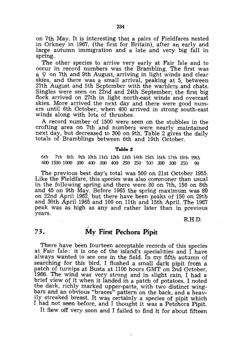on 7th May. It is interesting that a pairs of Fieldfares nested in Orkney in 1967, (the first for Britain), after an early and large autumn immigration and a late and very big fall in spring.

The other species to arrive very early at Fair Isle and to occur in record numbers was the Brambling. The first was  $a \circ$  on 7th and 9th August, arriving in light winds and clear skies, and there was a small arrival, peaking at 5, between 27th August and 5th September with the warblers and chats. Singles were seen on 22nd and 24th September; the first big flock arrived on 27th in light north-east winds and overcast skies. More arrived the next day and there were good numers until 6th October, when 400 arrived in strong south-east winds along with lots of thrushes.

A record number of 1500 were seen on the stubbles in the crofting area on 7th and numbers were nearly maintained next day, but decreased to 300 on 9th. Table 2 gives the daily totals of Bramblings between 6th and 19th October.

#### **Table 2**

6th 7th 8th 9th 10th 11th 12th 13th 14th 15th 16th 17th 18th 19th 400 1500 1000 300 400 300 400 250 250 500 300 300 250 90

The previous best day's total was 500 on 21st October 1955. Like the Fieldfare, this species was also commoner than usual in the following spring and there were 80 on 7th, 150 on 8th and 45 on 9th May. Before 1965 the spring maximum was 80 on 22nd April 1962, but there have been peaks of 150 on 29th and 30th April 1965 and 100 on 11th and 15th April. The 1967 peak was as high as any and rather later than in previous years.

R.H.D.

## I **73. My First Pechora Pipit**

There have been fourteen acceptable records of this species at Fair Isle: it is one of the island's specialities and I have always wanted to see one in the field. In my fifth autumn of searching for this bird, I flushed a small dark pipit from a patch of turnips at Busta at 1100 hours GMT on 2nd October, 1966. The wind was very strong and in slight rain, I had a brief yiew of it when it landed in a patch of potatoes. I noted the dark, richly marked upper-parts, with two distinct wingbars and an obvious "braces" pattern on the back, and a heavily streaked breast. It was certainly a species of pipit which I had not seen before, and I thought it was a Petchora Pipit.

It flew off very soon and I failed to find it for about fifteen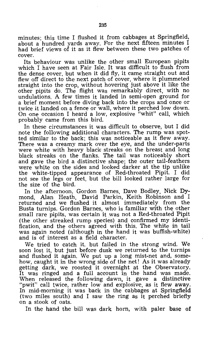minutes; this time I flushed it from cabbages at Springfield, about a hundred yards away. For the next fifteen minutes I had brief views of it as it flew between these two patches of cover.

Its behaviour was unlike the other small European pipits which I have seen at Fair Isle. It was difficult to flush from the dense cover, but when it did fly, it came straight out and flew off direct to the next patch of cover, where it plummeted straight into the crop, without hovering just above it like the other pipits do. The flight was remarkably direct, with no undulations. A few times it landed in semi-open ground for a brief moment before diving back into the crops and once or twice it landed on a fence or wall, where it perched low down. On one occasion I heard a low, explosive "whit" call, which probably came from this bird.

In these circumstances it was difficult to observe, but I did note the following additional characters. The rump was spotted similar to the back; this was noticeable as it flew away. There was a creamy mark over the eye, and the under-parts were white with heavy black streaks on the breast and long black streaks on the flanks. The tail was noticeably short and gave the bird a distinctive shape; the outer tail-feathers were white on the sides and looked darker at the tip unlike the white-tipped appearance of Red-throated Pipit. I did not see the legs or feet, but the bill looked rather large for the size of the bird.

In the afternoon, Gordon Barnes, Dave Bodley, Nick Dymond, Alan Heath, David Parkin, Keith Robinson and I returned and we flushed it almost immediately from the Busta turnips. Gordon Barnes, who is familiar with the other small rare pipits, was certain it was not a Red-throated Pipit (the other streaked rump species) and confirmed my identification, and the others agreed with this. The white in tail was again noted (although in the hand it was buffish-white) and is of interest as a field character.

We tried to catch it, but failed in the strong wind. We soon lost it, but just before dusk we returned to the turnips and flushed it again. We put up a long mist-net and, somehow, caught it in the wrong side of the net! As it was already getting dark, we roosted it overnight at the Observatory. It was ringed and a full account in the hand was made. When released the following dawn, it gave a distinctive "pwit" call twice, rather low and explosive, as it flew away. In mid-morning it was back in the cabbages at Springfield (two miles south) and I saw the ring as it perched briefly on a stook of oats.

In the hand the bill was dark horn, with paler base of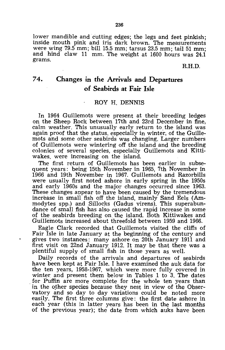lower mandible and cutting edges; the legs and feet pinkish; inside mouth pink and iris dark brown. The measurements were wing 79.5 mm; bill 15.5 mm; tarsus 23.5 mm; tail 51 mm; and hind claw 11 mm. The weight at 1600 hours was 24.1 grams.

### R.H.D.

### **74. Changes in the Arrivals and Departures of Seabirds at Fair Isle**

### ROY H. DENNIS

In 1964 Guillemots were present at their breeding ledges on the Sheep Rock between 17th and 23rd December in fine, calm weather. This unusually early return to the island was again proof that the status, especially in winter, of the Guillemots and some other seabirds was changing. Larger numbers of Guillemots were wintering off the island and the breeding colonies of several species, especially Guillemots and Kittiwakes, were increasing on the island.

The first return of Guillemots has been earlier in subsequent years: being 15th November in 1965, 7th November in 1966 and 19th November in 1967. Guillemots and Razorbills were usually first noted ashore in early spring in the 1950s and early 1960s and the major changes occurred since 1963. These changes appear to have been caused by the tremendous increase in small fish off the island, mainly Sand Eels (Ammodytes spp.) and Sillocks (Gadus virens). This superabundance of small fish has also caused the rapid increase in some of the sea birds breeding on the island. Both Kittiwakes and Guillemots increased about threefold between 1959 and 1966.

Eagle Clark recorded that Guillemots visited the cliffs of Fair Isle in late January at the beginning of the century and gives two instances: many ashore on 20th January 1911 and first visit on 22nd January 1912. It may be that there was a plentiful supply of small fish in those years as well.

Daily records of the arrivals and departures of seabirds have been kept at Fair Isle. I have examined the auk data for the ten years, 1958-1967, which were more fully covered in winter and present them below in Tables 1 to 3. The dates for Puffin are more complete for the whole ten years than in the other species because they nest in view of the Observatory and so day to day variations could be hoted more easily. The first three columns give: the first date ashore in each year (this in latter years has been in the last months of the previous year); the date from which auks have been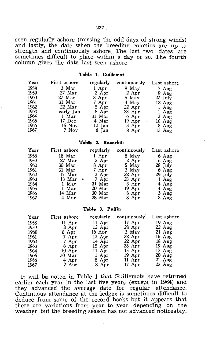seen regularly ashore (missing the odd days of strong winds) and lastly, the date when the breeding colonies are up to strength and continuously ashore. The last two dates are sometimes difficult to place within a day or so. The fourth column gives the date last seen ashore.

#### **Table 1. Guillemot**

| Year | First ashore | regularly | continuously | Last ashore      |
|------|--------------|-----------|--------------|------------------|
| 1958 | 3 Mar        | 1 Apr     | 9 May        | 7 Aug            |
| 1959 | $27$ Mar     | 2 Apr     | 2 Apr        | 9 Aug            |
| 1960 | $27$ Mar     | 8 Apr     | $5$ May      | 27 July          |
| 1961 | 31 Mar       | 7 Apr     | 4 May        | $12 \text{ Aug}$ |
| 1962 | 22 Mar       | 5 Apr     | $22$ Apr     | 1 Aug            |
| 1963 | early Jan    | 8 Apr     | $23$ Apr     | $1$ Aug          |
| 1964 | 1 Mar        | $31$ Mar  | 6 Apr        | $3$ Aug          |
| 1965 | 17 Dec       | 4 Mar     | $19$ Apr     | $10 \text{ Aug}$ |
| 1966 | 15 Nov       | $12$ Jan  | 3 Apr        | 8 Aug            |
| 1967 | 7 Nov        | 6 Jan     | 8 Apr        | $13 \text{ Aug}$ |

#### **Tablle 2. Razorbill**

| Year | First ashore            | regularly | continuously | Last ashore     |
|------|-------------------------|-----------|--------------|-----------------|
| 1958 | 18 Mar                  | 1 Apr     | 8 May        | $6 \text{ Aug}$ |
| 1959 | $27$ Mar                | 2 Apr     | $2$ Apr      | 6 Aug           |
| 1960 | 30 Mar                  | 8 Apr     | 5 May        | 28 July         |
| 1961 | $31$ Mar                | $7$ Apr   | $3$ May      | $6$ Aug         |
| 1962 | $17$ Mar                | $2$ Apr   | $22$ Apr     | 29 July         |
| 1963 | 13 Mar<br>$\mathcal{L}$ | $7$ Apr   | $23$ Apr     | $1$ Aug         |
| 1964 | 1 Mar                   | 31 Mar    | $3$ Apr      | $4$ Aug         |
| 1965 | 1 Mar                   | $20$ Mar  | $19$ Apr     | $4$ Aug         |
| 1966 | 14 Mar                  | 30 Mar    | 8 Apr        | $3$ Aug         |
| 1967 | 4 Mar                   | 28 Mar    | 8 Apr        | 8 Aug           |

#### **Table 3. Puffin**

| Year | First ashore     | regularly | continuously | Last ashore      |
|------|------------------|-----------|--------------|------------------|
| 1958 | 11 Apr           | $11$ Apr  | $17$ Apr     | 19 Aug           |
| 1959 | 8 Apr            | $12$ Apr  | $28$ Apr     | $22 \text{ Aug}$ |
| 1960 | 8 Apr            | 16 Apr    | 3 May        | $21$ Aug         |
| 1961 | 7 Apr            | $12$ Apr  | $22$ Apr     | $16$ Aug         |
| 1962 | 7 Apr            | $14$ Apr  | $22$ Apr     | $18$ Aug         |
| 1963 | 8 Apr            | $15$ Apr  | $23$ Apr     | $19$ Aug         |
| 1964 | $10 \text{ Apr}$ | 11 Apr    | 15 Apr       | $17 \text{ Aug}$ |
| 1965 | 30 Mar           | 1 Apr     | 19 Apr       | $20 \text{ Aug}$ |
| 1966 | 4 Apr            | 8 Apr     | $11$ Apr     | $21$ Aug         |
| 1967 | 7 Apr            | 8 Apr     | 17 Apr       | $23 \text{ Aug}$ |

It will be noted in Table 1 that Guillemots have returned earlier each year in the last five years (except in 1964) and they advanced the average date for regular attendance. Continuous attendance at the ledges is sometimes difficult to deduce from some of the record books but it appears that there are variations from year to year depending on the weather, but the breeding season has not advanced noticeably.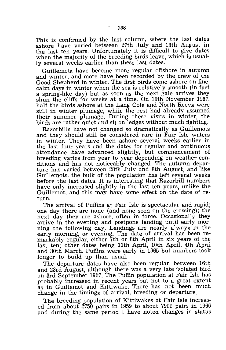This is confirmed by the last column, where the last dates ashore have varied between 27th July and 13th August in the last ten years. Unfortunately it is difficult to give dates when the majority of the breeding birds leave, which is usually several weeks earlier than these last dates.

Guillemots have become more regular offshore in autumn and winter, and more have been recorded by the crew of the Good Shepherd in winter. The first birds come ashore on fine, calm days in winter when the sea is relatively smooth (in fact a spring-like day) but as soon as the next gale arrives they shun the cliffs for weeks at a time. On 19th November 1967, half the birds ashore 'at the Lang Cole and North Reeva were still in winter plumage, while the rest had already assumed their summer plumage. During these visits in winter, the birds are rather quiet and sit on ledges without much fighting.

Razorbills have not changed so dramatically as Guillemots and they should still be considered rare in Fair Isle waters in winter. They have been ashore several weeks earlier in the last four years and the dates for regular and continuous attendance have advanced slightly, but commencement of breeding varies from year to year depending on weather conditions and has not noticeably changed. The autumn departure has varied between 28th July and 8th August, and like Guillemots, the bulk of the population has left several weeks before the last dates. It is interesting that Razorbill numbers have only increased slightly in the last ten years, unlike the Guillemot, and this may have some effect on the date of return.

The arrival of Puffins at Fair Isle is spectacular and rapid; one day there are none (and none seen on the crossing); the next day they are ashore, often in force. Occasionally they arrive in the evening and postpone landing until early morning the following day. Landings are nearly always in the early morning, or evening. The date of arrival has been remarkably regular, either 7th or 8th April in six years of the last ten; other dates being 11th April, 10th April, 4th April and 30th March. Puffins were early in 1965 but numbers took longer to build up than usual.

The departure dates have also been regular, between 16th and 23rd August, although there was a very late isolated bird on 3rd September 1967. The Puffin population at Fair Isle has probably increased in recent years but not to a great extent as in Guillemot and Kittiwake. There has not been much change in the timings of arrival, breeding or departure.

The breeding population of Kittiwakes at Fair Isle increased from about 2750 pairs in 1959 to about 7900 pairs in 1966 and during the same period I have noted changes in status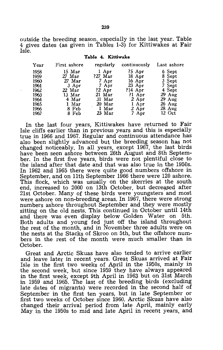outside the breeding season, especially in the last year. Table 4 gives dates (as given in Tables 1-3) for Kittiwakes at Fair Isle.

| Year | First ashore | regularly | continuously | Last ashore |
|------|--------------|-----------|--------------|-------------|
| 1958 | $15$ Mar     | 1 Apr     | $?5$ Apr     | 6 Sept      |
| 1959 | $27$ Mar     | $?27$ Mar | $18$ Apr     | 8 Sept      |
| 1960 | $27$ Mar     | 7 Apr     | 16 Apr       | 3 Sept      |
| 1961 | 3 Apr        | 7 Apr     | $23$ Apr     | 7 Sept      |
| 1962 | 22 Mar       | $?2$ Apr  | $?14$ Apr    | 4 Sept      |
| 1963 | $13$ Mar     | $21$ Mar  | $?1$ Apr     | $29$ Aug    |
| 1964 | 4 Mar        | $31$ Mar  | $2$ Apr      | $29$ Aug    |
| 1965 | 1 Mar        | 20 Mar    | 1 Apr        | $26$ Aug    |
| 1966 | 8 Feb        | 1 Mar     | 2 Apr        | $28$ Aug    |
| 1967 | 8 Feb        | 23 Mar    | 7 Apr        | 12 Oct      |
|      |              |           |              |             |

#### **Table 4. Kittiwake**

In the last four years, Kittiwakes have returned to Fair Isle cliffs earlier than in previous years and this is especially true in 1966 and 1967. Regular and continuous attendance has also been slightly advanced but the breeding season has not changed noticeably. In all years, except 1967, the last birds have been seen ashore between 26th August and 8th September. In the first five years, birds were not plentiful close to the island after that date and that was also true in the 1950s. In 1962 and 1965 there were quite good numbers offshore in September, and on 11th September 1966 there were 120 ashore. This flock, which was usually on the skerries at the south end, increased to 2000 on 13th October, but decreased after 21st October. Many of these birds were youngsters' and most were ashore on non-breeding areas. In 1967, there were strong numbers ashore throughout September and they were mostly sitting on the old nests. This continued in October until 14th and there was even display below Golden Water on 5th. Both adults and young fed just off the island throughout the rest of the month, and in November three adults were on the nests at the Stacks of Skroo on 5th, but the offshore numbers in the rest of the month were much smaller than in October.

Great and Arctic Skuas have also tended to arrive earlier and leave later in recent years. Great Skuas arrived at Fair Isle in the first two weeks of April in the 1950s, mainly in the second week, but since 1959 they have always appeared in the first week, except 9th April in 1963 but on 31st March in 1959 and 1965. The last of the breeding birds (excluding late dates of migrants) were recorded in the second half of September in the first ten years, but in late September or first two weeks of October since 1960. Arctic Skuas have also changed their arrival period from late April, mainly early May in the 1950s to mid and late April in recent years, and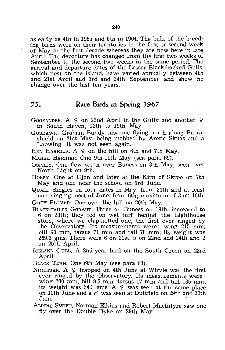as early as 4th in 1965 and 6th in 1964. The bulk of the breeding birds were on their territories in the first or second week of May in the first decade whereas they are now here in late ApriL The departure has changed from the first two weeks of September to the second two weeks in the same period. The arrival and departure dates of the Lesser Black-backed Gulls, which nest on the island, have varied annually between 4th and 21st April and 3rd and 24th September and show no change over the last ten years.

### **75. Rare Birds in Spring 1967**

GOOSANDER. A  $\varphi$  on 22nd April in the Gully and another  $\varphi$ in South Haven, 12th to 19th May.

- GOSHAWK. Graham Bundy saw one flying north along Burrashield on 21st May, being mobbed by Arctic Skuas and a Lapwing. It was not seen again.
- HEN HARRIER. A  $\varphi$  on the hill on 6th and 7th May.

MARSH HARRIER. One 9th-11th May (see para. 69).

- OSPREY. One flew south over Buness on 8th May, seen over North Light on 9th.
- HOBBY. One at Hjon and later at the Kirn of Skroo on 7th May and one near the school on 3rd June.
- QUAIL. Singles on four dates in May, from 24th and at least one, singing most of June, from 6th; maximum of 3 on 10th.

GREY PLOVER. One over the hill on 20th May.

- BLACK-TAILED GODWIT. Three on Buness on 19th, increased to 6 on 20th; they fed on wet turf behind the Lighthouse store, where we clap-netted one; the first ever ringed by the Observatory. Its measurements were: wing 215 mm, bill 90 mm, tarsus 71 mm and tail 78 mm; its weight was 269.3 gms. There were 6 on 21st, 5 on 22nd and 24th and 2 on 25th ApriL
- ICELAND GULL. A 2nd-year bird on the South Green on 23rd April.

BLACK TERN. One 6th May (see para 68).

- NIGHTJAR. A  $\varphi$  trapped on 4th June at Wirvie was the first ever ringed by the Observatory. Its measurements were: wing 200 mm, bill 9.5 mm, tarsus 17 mm and tail 135 mm; its weight was 64.3 gms. A  $\varphi$  was seen at the same place on 10th June and a  $\sigma$  was seen at Duttfield on 29th and 30th June.
- ALPINE SWIFT. Norman Elkins and Robert MacIntyre saw one fly over the Double Dyke on 29th May.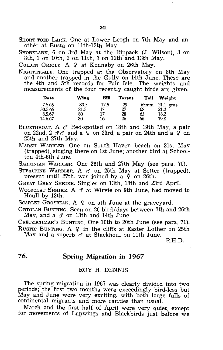SHORT-TOED LARK. One at Lower Leogh on 7th May and another at Busta on 11th-13th May.

SHORELARK. 6 on 3rd May at the Rippack (J. Wilson), 3 on 8th, 1 on 10th, 2 on 11th, 3 on 12th and 13th May.

GOLDEN ORIOLE. A  $9$  at Kennaby on 26th May.

NIGHTINGALE. One trapped at the Observatory on 8th May and another trapped in the Gully on 14th June. These are the 4th and 5th records for Fair Isle. The weights and measurements of the four recently caught birds are given.

| Date    | Wing | Bill | <b>Tarsus</b> | Tail    | Weight     |
|---------|------|------|---------------|---------|------------|
| 7.5.65  | 83.5 | 17.5 | 29            | $65$ mm | $21.1$ gms |
| 30.5.65 | 81.5 | 17   | 27            | 68      | 21.2       |
| 8.5.67  | 80   | 17   | 28            | 63      | 18.2       |
| 14.6.67 | 80   | 16   | 26            | 66      | 19.8       |

BLUETHROAT. A  $\sigma$  Red-spotted on 18th and 19th May, a pair on 22nd, 2  $\sigma$   $\sigma$  and a  $\Omega$  on 23rd, a pair on 24th and a  $\Omega$  on 25th and 27th May.

MARSH WARBLER. One on South Haven beach on 31st May (trapped), singing there on 1st June; another bird at Schoolton 4th-6th June.

SARDINIAN WARBLER. One 26th and 27th May (see para. 70).

SUBALPINE WARBLER. A  $\sigma$  on 25th May at Setter (trapped), present until 27th, was joined by a  $\varphi$  on 26th.

GREAT GREY SHRIKE. Singles on 13th, 18th and 23rd April.

WOODCHAT SHRIKE, A  $\sigma$  at Wirvie on 9th June, had moved to Houll by 13th.

SCARLET GROSBEAK. A  $\varphi$  on 5th June at the graveyard.

ORTOLAN BUNTING. Seen on 20 bird/ days between 7th and 26th May, and a  $\sigma$  on 13th and 14th June.

CRETZSCHMAR'S BUNTING. One 10th to 20th June (see para. 71). RUSTIC BUNTING. A  $9$  in the cliffs at Easter Lother on 25th

May and a superb  $\sigma$  at Stackhoul on 11th June.

R.H.D.

### **76. Spring Migration in 1967**

### ROY H. DENNIS

The spring migration in 1967 was clearly divided into two periods; the first two months were exceedingly bird-less but May and June were very exciting, with both large falls of continental migrants and more rarities than usual.

March and the first half of April were very quiet, except for movements of Lapwings and Blackbirds just before we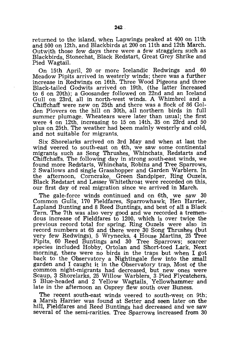returned to the island, when Lapwings peaked at 400 on 11th and 500 on 12th, and Blackbirds at 200 on 11th and 12th March. Outwith those few days there were a few stragglers such as Blackbirds, Stonechat, Black Redstart, Great Grey Shrike and Pied Wagtail.

On 15th April, 20 or more Icelandic Redwings and 60 Meadow Pipits arrived in westerly winds; there was a further increase in Redwings on 16th. Three Wood Pigeons and three Black-tailed Godwits arrived on 19th, (the latter Increased to 6 on 20th); a Goosander followed on 22nd and an Iceland Gull on 23rd, all in north-west winds. A Whimbrel and a Chiffchaff were new on 25th and there was a flock of 86 Golden Plovers on the hill on 30th, all northern birds in full summer plumage. Wheatears were later than usual; the first were 4 on 12th, increasing to 15 on 14th, 35 on 23rd and 50 plus on 25th. The weather had been mainly westerly and cold, and not suitable for migrants.

Six Shorelarks arrived on 3rd May and when at last the wind veered to south-east on 4th, we saw some continental migrants such as Song Thrushes, Whinchats, Redstarts and Chiffchaffs. The following day in strong south-east winds, we found more Redstarts, Whinchats, Robins and Tree Sparrows, 2 Swallows and single Grasshopper and Garden Warblers. In the afternoon, Corncrake, Green Sandpiper, Ring Ouzels, Black Redstart and Lesser Whitethroat were recorded on this, our first day of real migration since we arrived in March.

The gale-force winds continued and on 6th, we saw 30 Common Gulls, 170 Fieldfares, Sparrowhawk~ Hen Harrier, Lapland Bunting and 8 Reed Buntings, and best of all a Black Tern. The 7th was also very good and we recorded a tremendous increase of Fieldfares to 1200, which is over twice the previous record total for spring. Ring Ouzels were also in record numbers at 65 and there were 30 Song Thrushes (but very few Redwings), 5 Wrynecks, 4 House Martins, 25 Tree Pipits, 60 Reed Buntings and 30 Tree Sparrows; scarcer species included Hobby, Ortolan and Short-toed Lark. Next morning, there were no birds in the traps but when I got back to the Observatory a Nightingale flew into the small garden and I caught it in the Observatory trap. Most of the common night-migrants had decreased, but new ones were Scaup, 3 Shorelarks, 25 Willow Warblers, 3 Pied Flycatchers, 5 Blue-headed and 2 Yellow Wagtails, Yellowhammer and late in the afternoon an Osprey flew south over Buness.

The recent south-east winds veered to south-west on 9th; a Marsh Harrier was found at Setter and seen later on the hill, Fieldfares and Reed Buntings had decreased and we saw several of the semi-rarities. Tree Sparrows increased from 30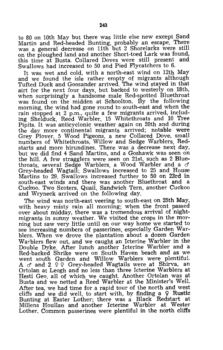to 80 on 10th May but there was little else new except Sand Martin and Red-headed Bunting, probably an escape. There was a general decrease on 11th but 2 Shorelarks were still on the ploughed land and another Short-toed Lark was found, this time at Busta. Collared Doves were still present and Swallows had increased to 50 and Pied Flycatchers to 6.

It was wet and cold, with a north-east wind on 12th May and we found the isle rather empty of migrants although Tufted Duck and Goosander arrived. The wind stayed in that airt for the next four days, but backed to westerly on 18th, when surprisingly a handsome male Red-spotted Bluethroat was found on the midden at Schoolton. By the following morning, the wind had gone round to south-east and when the rain stopped at 2 p.m., quite a few migrants arrived, including Shelduck, Reed Warbler, 15 Whitethroats and 10 Tree Pipits. It was anticyclonic weather again on 20th and during the day more continental migrants arrived; notable were Grey Plover, 5 Wood Pigeons, a new Collared Dove, small numbers of Whitethroats, Willow and Sedge Warblers, Redstarts and more hirundines. There was a decrease next day, but we did find 4 Sand Martins, and a Goshawk was seen on the hill. A few stragglers were seen on 21st, such as 2 Bluethroats, several Sedge Warblers, a Wood Warbler and a *d'*  Grey-headed Wagtail; Swallows increased to 25 and House Martins to 29. Swallows increased further to 50 on 23rd in south-east winds and there was another Bluethroat and a Cuckoo. Two Scoters, Quail, Sandwich Tern, another Cuckoo and Wryneck arrived on the following day.

The wind was north-east veering to south-east on 25th May, with heavy misty rain all morning; when the front passed over about midday, there was a tremendous arrival of nightmigrants in sunny weather. We visited the crops in the morning but saw very little until on our way home we started to see increasing numbers of passerines, especially Garden Warblers. When we drove the plantation about a dozen Garden Warblers flew out, and we caught an Icterine Warbler in the Double Dyke. Mter lunch another Icterine Warbler and a Red-backed Shrike were on South Haven beach and as we went south Garden and Willow Warblers were plentiful. A  $\sigma$  and 2 9 9 Grey-headed Wagtails were at Shirva, an Ortolan at Leogh and no less than three Icterine Warblers at Hesti Geo, all of which We caught. Another Ortolan was at Busta and we netted a Reed Warbler at the Minister's Well. After tea, we had time for a rapid tour of the north and west cliffs and we did well, to start with, by finding a  $\circ$  Rustic Bunting at Easter Lother; there was a Black Redstart at Millens Houllan and another Icterine Warbler at Wester Lother. Common passerines were plentiful in the north cliffs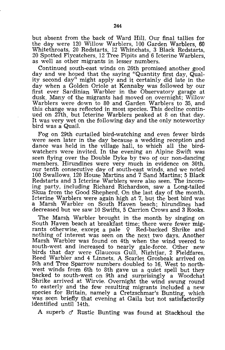but absent from the back of Ward Hill. Our final tallies for the day were 120 Willow Warblers, 100 Garden Warblers, 60 Whitethroats, 20 Redstarts, 12 Whinchats, 3 Black Redstarts, 20 Spotted Flycatchers, 12 Tree Pipits and 6 Icterine Warblers, as well as other migrants in lesser numbers.

Continued south-east winds on 26th promised another good day and we hoped that the saying "Quantity first day, Qua1 ity second day" might apply and it certainly did late in the day when a Golden Oriole at Kennaby was followed by our first ever Sardinian Warbler in the Observatory garage at dusk. Many of the migrants had moved on overnight; Willow Warblers were down to 80 and Garden Warblers to 35, and this change was reflected in most species. This decline continued on 27th, but Icterine Warblers peaked at 8 on that day. It was very wet on the following day and the only noteworthy bird was a Quail.

Fog on 29th curtailed bird-watching and even fewer birds were seen later in the day because a wedding reception and dance was held in the village hall, to which all the birdwatchers were invited. In the evening an Alpine Swift was seen flying over the Double Dyke by two of our non-dancing members. Hirundines were very much in evidence on 30th, our tenth consecutive day of south-east winds. and we noted 100 Swallows. 120 House Martins and 7 Sand Martins; 5 Black Redstarts and 3 Icterine Warblers were also seen. The incoming party, including Richard Richardson, saw a Long-tailed Skiua from the Good Shepherd. On the last day of the month, Icterine Warblers were again high at 7, but the best bird was a Marsh Warbler on South Haven beach; hirundines had decreased but we saw 10 Swifts, 5 Carrion Crows and 3 Rooks.

The Marsh Warbler brought in the month by singing on South Haven beach at breakfast time; there were fewer migrants otherwise, except a pale  $\varphi$  Red-backed Shrike and nothing of interest was seen on the next two days. Another Marsh Warbler was found on 4th when the wind veered to south-west and increased to nearly gale-force. Other new birds that day were Glaucous Gull, Nightjar, 2 Fieldfares, Reed Warbler and 4 Linnets. A Scarlet Grosbeak arrived on 5th and Tree Sparrow numbers doubled to 16. West to northwest winds from 6th to 8th gave us a quiet spell but they backed to south-west on 9th and surprisingly a Woodchat Shrike arrived at Wirvie. Overnight the wind swung round to easterly and the few resulting migrants included a new species for Britain, namely a Cretzschmar's Bunting, which was seen briefly that evening at Gaila but not satisfactorily identified until 14th.

A superb *et* Rustic Bunting was found at Stackhoul the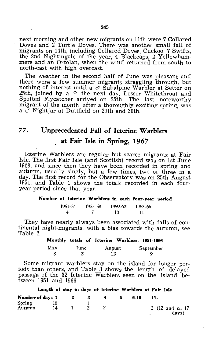next morning and other new migrants on 11th were 7 Collared Doves and 2 Turtle Doves. There was another small fall of migrants on 14th, including Collared Doves, Cuckoo, 7 Swifts, the 2nd Nightingale of the year, 4 Blackcaps, 2 Yellowhammers and an Ortolan, when the wind returned from south to north-east with high overcast.

The weather in the second half of June was pleasant and there were a few summer migrants straggling through; but nothing of interest until a  $\sigma$  Subalpine Warbler at Setter on  $25th$ , joined by a  $9$  the next day. Lesser Whitethroat and Spotted Flycatcher arrived on 25th. The last noteworthy migrant of the month, after a thoroughly exciting spring, was a *cS* Nightjar at Duttfield on 29th and 30th.

### 77. Unprecedented Fall of Icterine Warblers at Fair Isle in Spring, 1967

Icterine Warblers are regular but scarce migrants at Fair Isle. The first Fair Isle (and Scottish) record was on 1st June 1908, and since then they have been recorded in spring and autumn, usually singly, but a few times, two or three in a day. The first record for the Observatory was on 25th August 1951, and Table 1 shows the totals recorded in each fouryear period since that year.

### Number of Icterine Warblers in each four-year period 1951-54 1955-58 1959-62 1963-66<br>4 7 10 11 4 7 10 11

They have nearly always been associated with falls of continental night-migrants, with a bias towards the autumn, see Table 2.

|     |      | Monthly totals of Icterine Warblers, 1951-1966 |           |
|-----|------|------------------------------------------------|-----------|
| May | Iune | August                                         | September |
| я   | -3   | 12                                             | o         |

Some migrant warblers stay on the island for longer periods than others, and Table  $3$  shows the length of delayed passage of the 32 Icterine Warblers seen on the island between 1951 and 1966.

Lengtih of stiay in days of Icterine Warblers at Fair Isle

| Number of days 1 |    | -2 | -3 | 4 | 6-10 | -11-                      |
|------------------|----|----|----|---|------|---------------------------|
| Spring<br>Autumn | 14 |    |    |   |      | 2 (12 and ca 17)<br>davs) |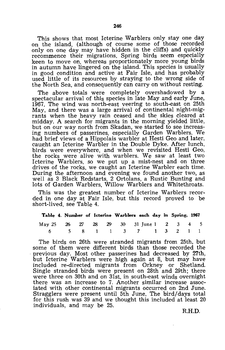This shows that most Icterine Warblers only stay one day on the island, (although of course some of those recorded only on one day may have hidden in the cliffs) and quickly recommence their migrations. Spring birds seem especially keen to move on, whereas proportionately more young birds in autumn have lingered on the island. This species is usually in good condition and active at Fair Isle, and has probably used little of its resources by straying to the wrong side of the North Sea, and consequently can carry on without resting.

The above totals were completely overshadowed by a spectacular arrival of this species in late May and early June, 1967. The wind was north-east veering to south-east on 25th May, and there was a large arrival of continental night-migrants when the heavy rain ceased and the skies cleared at midday. A search for migrants in the morning yielded little, but on our way north from Skadan, we started to see increasing numbers of passerines, especially Garden Warblers. We had brief views of a Hippolais warbler at Hesti Geo and later, caught an Icterine Warbler in the Double Dyke. After lunch, birds were everywhere, and when we revisited Hesti Geo, the rocks were alive with warblers. We saw at least two Icterine Warblers, so we put up a mist-nest and on three drives of the rocks, we caught an Icterine Warbler each time. During the afternoon and evening we found another two, as well as 3 Black Redstarts. 2 Ortolans, a Rustic Bunting and lots of Garden Warblers, Willow Warblers and Whitethroats.

This was the greatest number of Icterine Warblers recorded in one day at Fair Isle, but this record proved to be short-lived. see Table 4.

| Table 4. Number of Icterine Warblers each day in Spring, 1967 |  |  |  |  |  |  |
|---------------------------------------------------------------|--|--|--|--|--|--|
| May 25 26 27 28 29 30 31 June 1 2 3 4 5                       |  |  |  |  |  |  |
| 6 5 8 1 1 3 7 1 3 2 1 1                                       |  |  |  |  |  |  |

The birds on 26th were stranded migrants from 25th, but some of them were different birds than those recorded the previous day. Most other passerines had decreased by 27th, but Icterine Warblers were high again at 8, but may have included re-directed migrants from Orkney or Shetland. included re-directed migrants from Orkney or Single stranded birds were present on 28th and 29th; there were three on 30th and on 31st, in south-east winds overnight there was an increase to 7. Another similar increase associated with other continental migrants occurred on 2nd June. Stragglers were present until 5th June. The bird/days total for this rush was 39 and we thought this included at least 20 individuals, and may be 25.

R.H.D.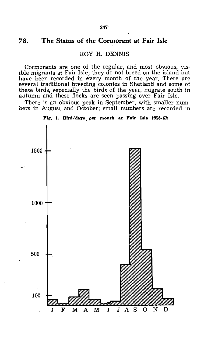### 78. The Status of the Cormorant at Fair Isle

ROY H. DENNIS

Cormorants are one of the regular, and most obvious, visible migrants at Fair Isle; they do not breed on the island but have been recorded in every month of the year. There are several traditional breeding colonies in Shetland and some of these birds, especially the birds of the year, migrate south in autumn and these flocks are seen passing over Fair Isle.

There is an obvious peak in September, with smaller numbers in August and October; small numbers are recorded in



Fig. 1. Bird/days per month at Fair Isle 1958-67t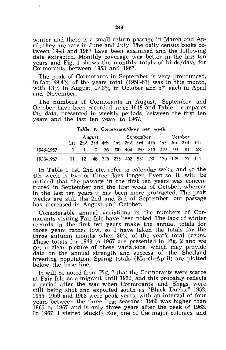winter and there is a small return passage in March and April; they are rare in June and July. The daily census books between 1948 and 1967 have been examined and the following data extracted. Monthly coverage was better in the last ten years and Fig. 1 shows the monthly totals of birds/days for Cormorants between 1958 and 1967.

The peak of Cormorants in September is very pronounced, in fact 49.4% of the years total (1958-67) was in this month, with 13% in August, 17.3% in October and 5% each in April and November.

The numbers of Cormorants in August, September and October have been recorded since 1948 and Table 1 compares the data, presented in weekly periods, between the first ten years and the last ten years to 1967.

#### Table 1. Cormorant/days per week

|           | August |     |  |  | September |                                                 |  |  | October |     |      |     |
|-----------|--------|-----|--|--|-----------|-------------------------------------------------|--|--|---------|-----|------|-----|
|           |        |     |  |  |           | 1st 2nd 3rd 4th 1st 2nd 3rd 4th 1st 2nd 3rd 4th |  |  |         |     |      |     |
| 1948-1957 |        |     |  |  |           | 0 36 230 404 450 313 219                        |  |  |         | 99. | - 81 | -28 |
| 1958-1967 | 11.    | 12. |  |  |           | 48 326 235 462 534 280 170 128 77 154           |  |  |         |     |      |     |

In Table 1 1st, 2nd etc. refer to calendar weks, and so the 4th week is two or three days longer. Even so it will be noticed that the passage in the first ten years was concentrated in September and the first week of October, whereas in the last ten years it has been more protracted. The peak weeks are still the 2nd and 3rd of September, but passage has increased in August and October.

Considerable annual variations in the numbers of Cormorants visiting Fair Isle have been noted. The lack of winter records in the first ten years make the annual totals for those years rather low, so I have taken the totals for the three autumn months when 80% of the year's total occurs. These totals for 1948 to 1967 are presented in Fig. 2 and we get a clear picture of these variations, which may provide data on the annual strength and success of the Shetland breeding population. Spring totals (March-April) are plotted below the base line.

It will be noted from Fig. 2 that the Cormorants were scarce at Fair Isle as a migrant until 1952, and this probably reflects a period after the war when Cormorants and Shags were still being shot and exported south as "Black Ducks." 1952, 1955, 1959 and 1963 were peak years, with an interval of four years between the three best seasons: 1966 was higher than 1965 or 1967 and is only three years after the peak of 1963. In 1967, I visited Muckle Roe, one of the major colonies, and

 $\overline{\phantom{a}}$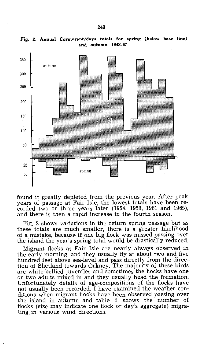

Fig. 2. Annual Cormorant/days totals for spring (below base line) and autumn 1948-67

found it greatly depleted from the previous year. After peak years of passage at Fair Isle, the lowest totals have been recorded two or three years later (1954, 1958, 1961 and 1965), and there is then a rapid increase in the fourth season.

Fig. 2 shows variations in the return spring passage but as these totals are much smaller, there is a greater likelihood of a mistake, because if one big flock was missed passing over the island the year's spring total would be drastically reduced.

Migrant flocks at Fair Isle are nearly always observed in the early morning, and they usually fly at about two and five hundred feet above sea-level and pass directly from the direction of Shetland towards Orkney. The majority of these birds are white-bellied juveniles and sometimes the flocks have one or two adults mixed in and they usually head the formation. Unfortunately details of age-compositions of the flocks have not usually been recorded. I have examined the weather conditions when migrant flocks have been observed passing over the island in autumn and table 2 shows the number of flocks (size may indicate one flock or day's aggregate) migrating in various wind directions.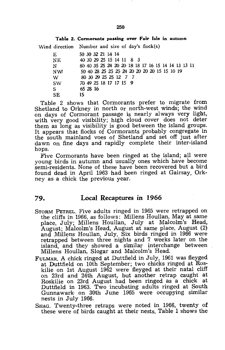| 15 |          |                   |                                                                             |                                                                                                                                                                                                                |
|----|----------|-------------------|-----------------------------------------------------------------------------|----------------------------------------------------------------------------------------------------------------------------------------------------------------------------------------------------------------|
|    | 65 28 16 | 50 30 32 21 14 14 | 40 30 29 25 15 14 11 8 3<br>80 30 29 25 25 12 7 7<br>70 49 25 18 17 17 15 9 | Table 2. Cormorants passing over Fair Isle in autumn<br>Wind direction Number and size of day's flock(s)<br>80 40 35 25 24 20 20 18 18 17 16 15 14 14 13 13 11<br>50 40 28 25 25 25 24 20 20 20 20 15 15 10 19 |

Table 2 shows that Cormorants prefer to migrate from Shetland to Orkney in north Or north-west winds; the wind on days of Cormorant passage is nearly always very light, with very good visibility; high cloud cover does not deter them as long as visibility is good between the island groups. It appears that flocks of Cormorants probably congregate in the south mainland voes of Shetland and set off just after dawn on fine days and rapidly complete their inter-island hops.

Five Cormorants have been ringed at the island; all were young birds in autumn and usually ones which have become semi-residents. None of these have been recovered but a bird found dead in April 1963 had been ringed at Gairsay, Orkney as a chick the previous year.

### 79. Local Recaptures in 1966

- STORM PETREL. Five adults ringed in 1965 were retrapped on the cliffs in 1966, as follows: Millens Houllan, May at same place, July; Millens Houllan, July at Malcolm's Head, August; Malcolm's Head, August at same place, August (2) and Millens Houllan, July. Six birds ringed in 1966 were retrapped between three nights and 7 weeks later on the island, and they showed a similar interchange between Millens Houllan, Slogar and Malcolm's Head.
- FULMAR. A chick ringed at Duttfield in July, 1961 was fleyged at Duttfield on 10th September; two chicks ringed at Roskilie on 1st August 1962 were fleyged at their natal cliff on 23rd and 24th August, but another retrap caught at Roskilie on 23rd August had been ringed as a chick at Duttfield in 1963. Two incubating adults ringed at South Gunnawark on 30th June 1965 were occupying similar nests in July 1966.
- SHAG. Twenty-three retraps were noted in 1966, twenty of these were of birds caught at their nests. Table 1 shows the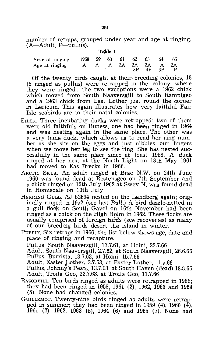number of retraps, grouped under year and age at ringing,  $(A-Adult, P-pullus)$ . **Ta,ible 1** 

| Year of ringing 1958 59 60 61 62 63 64 65 |  |  |                    |  |
|-------------------------------------------|--|--|--------------------|--|
| Age at ringing A A A 2A 2A 2A A 2A        |  |  | $3P$ $4P$ $3P$ $P$ |  |

Of the twenty birds caught at their breeding colonies, 18 (5 ringed as pullus) were retrapped in the colony where they were ringed: the two exceptions were a 1962 chick which moved from South Naaversgill to South Ramnigeo and a 1963 chick from East Lother just round the corner in Lericum. This again illustrates how very faithful Fair Isle seabirds are to their natal colonies.

- EIDER. Three incubating ducks were retrapped; two of them were old faithfuls on Buness, one had been ringed in 1964 and was nesting again in the same place. The other was a very tame duck, which allows us to read her ring number as she sits on the eggs and just nibbles our fingers when we move her leg to see the ring. She has nested successfully in the same place since at least 1958. A duck ringed at her nest at the North Light on 18th May 1961 had moved to Eas Brecks in 1966.
- ARCTIC SKUA. An adult ringed at Brae N.W. on 24th June 1960 was found dead at Restensgeo on 7th September and a chick ringed on 12th July 1962 at Swey N. was found dead in Homisdale on 10th July.
- HERRINC GULL. AJ 52694 nested on the Landberg again; originally ringed in 1952 (see last Bull.) A bird dazzle-netted in a gull flock on South Gavel on 16th November had been ringed as a chick on the High Holm in 1962. These flocks are usually comprised of foreign birds (see recoveries) as many of our breeding birds desert the island in winter.
- PUFFIN. Six retraps in 1966; the list below shows age, date and place of ringing and recapture. Pullus, South Naaversgill, 17.7.61, at Hoini, 22.7.66 Adult, South NaaversgiIl, 2.7.62, at South Naaversgill, 26.6.66 Pullus, Burrista, 18.7.62, at Hoini, 15.7.66 Adult, Easter Lother, 3.7.63, at Easter Lother, 11.5.66 Pullus, Johnny's Peats, 13.7.63, at South Haven (dead) 18.8.66 Adult, Troila Geo, 22.7.63, at Troila Geo, 11.7.66
- RAZORBILL. Ten birds ringed as adults were retrapped in 1966; they had been ringed in 1958, 1961 (2), 1962, 1963 and 1964 (5). None had changed colonies.
- GUILLEMOT. Twenty-nine birds ringed as adults were retrapped in summer; they had been ringed in 1959 (4), 1960 (4), 1961 (2), 1962, 1963 (5), 1964 (6) and 1965 (7). None had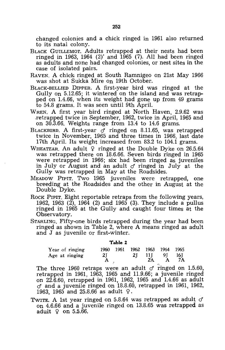changed colonies and a chick ringed in 1961 also returned to its natal colony.

- BLACK GUILLEMOT. Adults retrapped at their nests had been ringed in 1963, 1964 (2)' and  $1\overline{9}65$  (7). All had been ringed as adults and none had changed colonies, or nest sites in the case of isolated pairs.
- RAVEN. A chick ringed at South Ramnigeo on 21st May 1966 was shot at Sukka Mire on 19th October.
- BLACK-BELLIED DIPPER. A first-year bird was ringed at the Gully on 5.12.65; it wintered on the island and was retrapped on 1.4.66, when its weight had gone up from 49 grams to 54.8 grams. It was seen until 9th April.
- WREN. A first year bird ringed at North Haven, 2.9.62 was .retrapped twice in September, 1962, twice in April, 1965 and on 30.3.66. Weights range from 13.4 to 14.6 grams.
- BLACKBIRD. A first-year  $\sigma$  ringed on 8.11.65, was retrapped twice in November, 1965 and three times in 1966, last date 17th April. Its weight increased from 83.2 to 104.1 grams.
- WHEATEAR. An adult  $\varphi$  ringed at the Double Dyke on 26.5.64 was retrapped there on 18.6.66. Seven birds ringed in 1965 were retrapped in 1966; six had been ringed as juveniles in July or August and an adult  $\sigma$  ringed in July at the Gully was retrapped in May at the Roadsides.
- MEADOW PIPIT. Two 1965 juveniles were retrapped, one breeding at the Roadsides and the other in August at the Double Dyke.
- ROCK PIPIT. Eight reportable retraps from the following years, 1962, 1963 (2), 1964 (2) and 1965 (3). They include a pullus ringed in 1965 at the Gully and caught four times at the Observatory.
- STARLING. Fifty-one birds retrapped during the year had been ringed as shown in Table 2, where A means ringed as adult and J as juvenile or first-winter.

**Table** 2

| Year of ringing |     | 1960 1961 1962 1963 1964 1965 |    |       |        |
|-----------------|-----|-------------------------------|----|-------|--------|
| Age at ringing  | 2I. | 2T                            |    | 11 91 | - 16 J |
|                 |     |                               | 2A | A     | 7A     |

The three 1960 retraps were an adult  $\sigma$  ringed on 1.5.60, retrapped in 1961, 1963, 1965 and 11.9.66; a juvenile ringed on 22.6.60, retrapped in 1961, 1962, 1965 and 1.4.66 as adult  $\sigma$  and a juvenile ringed on 18.8.60, retrapped in 1961, 1962, 1963, 1965 and 25.8.66 as adult  $\varphi$ .

TWITE. A 1st year ringed on 5.8.64 was retrapped as adult  $\sigma$ on 4.6.66 and a juvenile ringed on 13.8.65 was retrapped as adult  $\varphi$  on 5.5.66.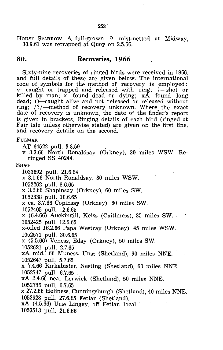HOUSE SPARROW. A full-grown 9 mist-netted at Midway, 30.9.61 was retrapped at Quoy on 2.5.66.

### **80. Recoveries, 1966**

Sixty-nine recoveries of ringed birds were received in 1966, and full details of these are given below. The international code of symbols for the method of recovery is employed: v-caught or trapped and released with ring;  $\dagger$ -shot or killed by man;  $x$ -found dead or dying;  $x$ A-found long dead; ()—caught alive and not released or released without ring;  $\frac{1}{2}$  -method of recovery unknown. Where the exact date of recovery is unknown, the date of the finder's report is given in brackets. Ringing details of each bird (ringed at Fair Isle unless otherwise stated) are given on the first line, and recovery details on the second.

#### FULMAR

AT 64522 pull. 3.8.59

v 8.3.66 North Ronaldsay (Orkney), 30 miles WSW. Reringed SS 40244.

#### **SHAG**

1033692 pull. 21.6.64

x 3.1.66 North Ronaldsay, 30 miles WSW.

1052262 pull. 8.6.65

x 3.2.66 Shapinsay (Orkney), 60 miles SW.

1052338 pull. 10.6.65

x ca. 3.7.66 Copinsay (Orkney), 60 miles SW.

1052405 pull. 12.6.65

x (6.4.66) Auckingill, Keiss (Caithness), 85 miles SW. ' 1052425 pull. 12.6.65

x-oiled 16.2.66 Papa Westray (Orkney), 45 miles WSW. 1052571 pull. 30.6.65

x (5.5.66) Veness, Eday (Orkney), 50 miles SW.

1052621 pull. 2.7.65

xA mid.1.66 Muness, Unst (Shetland), 90 miles NNE.

1052647 pull. 5.7.65<br>x 7.4.66 Kirkabister, Nesting (Shetland), 60 miles NNE. 1052747 pull. 6.7.65. .

xA 2.4.66 near Lerwick (Shetland), 50 miles NNE. 1052786 pull. 6.7.65

x 27.2.66 Heliness, Cunningsburgh (Shetland), 40 miles NNE. 1052928 pull. 27.6.65 Fetlar (Shetland).

xA (4.5.66) Urie Lingey, off Fetlar, local.

1053513 pull. 21.6.66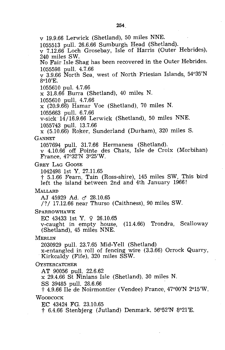v 19.9.66 Lerwick (Shetland), 50 miles NNE. 1055513 pull. 26.6.66 Sumburgh Head (Shetland). v 7.12.66 Loch Grosebay, Isle of Harris (Outer Hebrides), 240 miles SW. No Fair Isle Shag has been recovered in the Outer Hebrides. 1055598 pull. 4.7.66 v 3.9.66 North Sea, west of North Friesian Islands, 54°35'N 8°10'E. 1055610 pul. 4.7.66 x 31.8.66 Burra (Shetland), 40 miles N. 1055610 pull. 4.7.66  $x(20.9.66)$  Hamar Voe (Shetland), 70 miles N. 1055663 pull. 6.7.66 v-sick "14/16.9.66 Lerwick (Shetland), 50 miles NNE. 1055743 pull. 13.7.66 x (5.10.66) Roker, Sunderland (Durham), 320 miles S. GANNET 1057694 pull. 31.7.66 Hermaness (Shetland). v 4.10.66 off Pointe des Chats, Isle de Croix (Morbihan) France, 47°32'N 3°25'W. . GREY LAG GoOSE 1042498 1st Y. 27.11.65 t 5.1.66 Fearn, Tain (Ross-shire), 145 miles SW. This bird left the island between 2nd and 4th January 1966! MALLARD AJ 45929 Ad. & 28.10.65 /?/ 17.12.66 near Thurso (Caithness), 90 miles SW. SPARROWHAWK EC 43433 1st Y. 9 26.10.65 v-caught in empty house, (11.4.66) Trondra, Scalloway (Shetland), 45 miles NNE. MERLIN 2030929 pull. 23.7.65 Mid-Yell (Shetland) x-entangled in roll of fencing wire (3.3.66) Orrock Quarry, "Kirkcaldy (Fife), 320 miles SSW. **OYSTERCATCHER** AT 90056 pull. 22.6.62 x 29.4.66 St Ninians Isle (Shetland), 30 miles N. SS 39485 pull. 28.6.66 t 4.9.66 Ile de Noirmontier (Vendee) France, 47°00'N 2°15'W. **WOODCOCK** EC 43424 FG. 23.10.65 t 6.4.66 Stenbjerg (Jutland) Denmark, 56°52'N 8°21'E.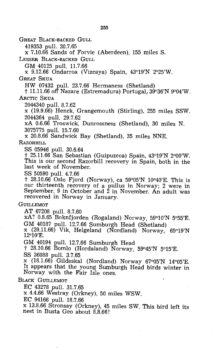#### 255

GREAT BLACK-BACKED GULL

419353 pull. 20.7.65

x 7.10.66 Sands of Forvie (Aberdeen), 155 miles S.

LESSER BLACK-BACKED GULL

GM 40125 pull. 11.7.66

x 9.12.66 Ondarroa (Vizcaya) Spain, 43°19'N '2°25'W.

GREAT SKUA

HW 07432 pull. 23.7.66 Hermaness (Shetland)<br>† 11.11.66 off Nazare (Estremadura) Portugal, 39°36'N 9°04'W, ARCTIC SKUA

2044340 pull. 8.7.62

x (19.9.66) Henck, Grangemouth (Stirling), 255 miles SSW. 2044364 pull. 29.7.62

xA 0.6.66 Troswick!. Dunrossness (Shetland), 30 miles N. 3075775 pull. 15.7.60

x 20.8.66 Sandwick Bay (Shetland), 35 miles NNE.

RAZORBILL

SS 05946 pull. 30.6.64

t 25.11.66 San Sebastian (Guipuzcoa) Spain, 43°19'N 2°00'W. This is our second Razorbill recovery in Spain, both in the last week of November.

SS 50590 pull. 4.7.66

 $\ddagger$  28.10.66 Oslo Fjord (Norway), ca 59°05'N 10°40'E. This is our thirteenth recovery of a pullus in Norway; 2 were in September. 9 in October and 2 in November. An adult was recovered in Norway in January.

GUILLEMOT

AT 67208 pull. 8.7.60

xA? 0.B.65 Boknfjorden (Rogaland) Norway, 59°10'N 5°55'E. GM 40187 pull. 12.7.66 Sumburgh Head (Shetland)

x (29.11.66) Vik, Helgeland (Nordland) Norway, 65°19'N 12°10'E.

GM 40194 pull. 12.7.66 Sumburgh Head

t 28.10.66 Bomlo (Hordaland) Norway, 59°45'N 5°15'E. SS 36088 pull. 3.7.65

x (18.1.66) Gildeskal (Nordland) Norway 67°05'N 14°05'E. It appears that the young Sumburgh Head birds winter in Norway with the Fair Isle ones.

### BLACK GUILLEMOT

EC 43278 pull. 31.7.65

x 4.4.66 Westray (Orkney), 50 miles WSW.

EC 94166 pull. 18.7.66

x 13.8.66 Stronsay (Orkney), 45 miles SW. This bird left its nest in Busta Geo about 8.8.66!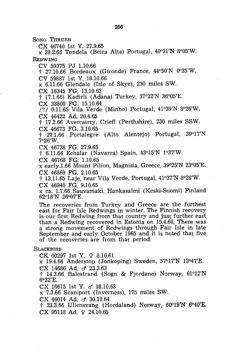SONG THRUSH

ex 46740 1st Y. 27.9.65

 $x$  28.2.66 Tondela (Beira Alta) Portugal, 40°31'N 8°05'W. **REDWING** 

ev 59375 PJ 1.10.66

t 27.10.66 Bordeaux (Gironde) France, 44°50'N 0035'W.

ev 59887 1st Y. 18.10.66

x 6.11.66 Glendale (Isle of Skye), 230 miles SW.

ex 16345 FG. 13.10.63

t (7.1.66) Kadirli (Adana) Turkey, 37°22'N 36°05'E.

ex 33800 FG. 15.10.64

/?/ 0.11.65 Vila Verde (Minho) Portugal, 41°39'N 8°26'W. ex 46422 Ad. 20.4.65

t 17.2.66 Avercairry, erieff (Perthshire), 230 miles SSW. ex 46673 FG. 3.10.65

t 27.1.66 Portalegre (Alto Alentejo) Portugal, 39°17'N 7°26'W.

ex 46738 FG. 27.9.65

t 6.11.66 Echalar (Navarra) Spain, 43°15'N 1°37'W.

ex 46768 FG. 1.10.65

x early.1.66 Mount Pilion, Magnisia, Greece, 39°25'N 23°05'E. ex 46869 FG. 2.10.65

t 13.11.65 Laje, near Vila Verde, Portugal, 41°37'N 8°28'W.

ex 46940 FG. 9.10.65

x ca. 1.7.66 Sauvamaki, Hankasalmi (Keski-Suomi) Finland 62°18'N 26°017'E.

The recoveries from Turkey and Greece are the furthest east for Fair Isle Redwings in winter. The Finnish recovery is our first Redwing from that country and just further east than a Redwing recovered in Estonia on 15.4.60. There was a strong movement of Redwings through Fair Isle in late September and early October 1965 and it is noted that five of the recoveries are from that period.

### **BLACKBIRD**

CK 00297 1st Y. 9 8.10.61

x 19.4.66 Anderstop (Jonkoping) Sweden, 57°17'N 13°47'E. CX 14686 Ad. d 23.3.63

t 14.3.66 Balestrand (Sogn & Fjordane) Norway, 61°12'N  $6°32'E$ .

CX 16615 1st Y.  $\sigma$  18.10.63

x 7.3.66 Scaniport (Inverness), 175 miles SW.

 $CX$  46014 Ad.  $\sigma$  30.10.64

 $\ddot{\text{ }1}$  23.3.66 Ullensvang (Hordaland) Norway, 60°19'N 6°40'E. ex 95118 Ad. 9 24.10.65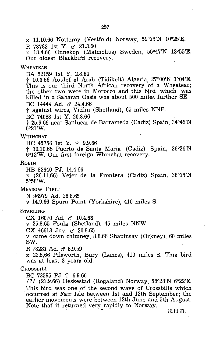x 11.10.66 Notteroy (Vestfold) Norway,  $59^{\circ}15'N$   $10^{\circ}25'E$ . R 78783 1st Y.  $\sigma$  21.3.60 x 18.4.66 Onnekop (Malmohus) Sweden, 55°47'N 13°55'E. Our oldest Blackbird recovery. WHEATEAR BA 52159 1st Y. 2.8.64 t 10.3.66 Aoulef el Arab (Tidikelt) Algeria, 27°00'N 1°04'E. This is our third North African recovery of a Wheatear: the other two were in Morocco and this bird which was killed in a Saharan Oasis was about 500 miies further SE. BC 14444 Ad.  $\sigma$  24.4.66 t against wires, Vidlin (Shetland), 65 miles NNE. BC 74088 1st Y. 20.8.66 t 25.9.66 near Sanlucar de Barrameda (Cadiz) Spain, 34°46'N  $6^{\circ}21'W$ . WHINCHAT  $HC 45756 1st Y. 9.9.66$ t 30.10.66 Puerto de Santa Maria (Cadiz) Spain, 36°36'N 6°12'W. Our first foreign Whinchat recovery. ROBIN HB 82640 PJ. 14.4.66 x (26.11.66) Vejer de la Frontera (Cadiz) Spain, 36°15'N 5°58'W. MEADOW PIPIT N 96979 Ad. 28.8.65 v 14.9.66 Spurn Point (Yorkshire), 410 miles S. **STARLING** CX 16070 Ad.  $\sigma$  10.4.63 v 25.8.65 Foula (Shetland), 45 miles NNW. CX 46613 Juv. *c* 30.8.65 v, came down chimney, 8.8.66 Shapinsay (Orkney), 60 miles SW. R 78231 Ad.  $\sigma$  8.9.59 x 22.5,66 Pilsworth, Bury (Lanes), 410 miles S. This bird was at least 8 years old. **CROSSBILL** BC 73595 PJ  $\Omega$  6.9.66 /?/ (21.9.66) Heskestad (Rogaland) Norway, 58°28'N 6°22'E.<br>This bird was one of the second wave of Crossbills which occurred at Fair Isle between 1st and 12th September; the earlier movements were between 12th June and 5th August. Note that it returned very rapidly to Norway. R.H.D.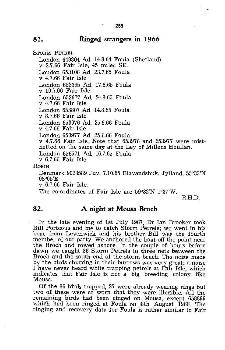### **81. Ringed strangers in 1966**

STORM PETREL

London 649804 Ad. 14.8.64 Foula (Shetland) v 3.7.66 Fair Isle, 45 miles SE. London 653106 Ad. 23.7.65 Foula v 4.7.66 Fair Isle London 653395 Ad. 17.8.65 Foula v 19.7.66 Fair Isle London 653677 Ad. 24.8.65 Foula v 4.7.66 Fair Isle London 653807 Ad. 14.8.65 Foula v 8.7.66 Fair Isle London 653976 Ad. 25.6.66 Foula v 4.7.66 Fair Isle London 653977 Ad. 25.6.66 Foula v 4.7.66 Fair Isle. Note that 653976 and 653977 were mistnetted on the same day at the Ley of Millens Houllan. London 656571 Ad. 16.7.65 Foula v 6.7.66 Fair Isle **ROBIN** Denmark 9028589 Juv. 7.10.65 Blavandshuk, Jylland, 55°33'N

08°05'E

v 6.7.66 Fair Isle.

The co-ordinates of Fair Isle are 59°32'N 1°37'W.

R.H.D.

### **82. A night at Mousa Broch**

In the late evening of 1st July 1967, Dr Ian Brooker took Bill Porteous and me to catch Storm Petrels; we went in his boat from Levenwick and his brother Bill was the fourth member of our party. We anchored the boat off the point near the Broch and rowed ashore. In the couple of hours before dawn we caught 86 Storm Petrels in three nets between the Broch and the south end of the storm beach. The noise made by the birds churring in their burrows was very great; a noise I have never heard while trapping petrels at Fair Isle, which indicates that Fair Isle is not a big breeding colony like Mousa.

Of the 86 birds trapped, 27 were already wearing rings but two of these were so worn that they were illegible. All the remaining birds had been ringed on Mousa, except 658899 which had been ringed at Foula on 8th August 1966. The ringing and recovery data for Foula is rather similar to Fair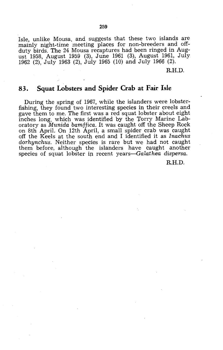Isle, unlike Mousa, and suggests that these two islands are mainly night-time meeting places for non-breeders and offduty birds. The 24 Mousa recaptures had been ringed in August 1958, August 1959 (3), June 1961 (3), August 1961, July 1962 (2), July 1963 (2), July 1965 (10) and July 1966 (2).

R.H.D.

### **83. Squat Lobsters and Spider Crab at Fair Isle**

During the spring of 1967, while the islanders were lobsterfishing, they found two interesting species in their creels and gave them to me. The first was a red squat lobster about eight inches long, which. was identified by the Torry Marine Laboratory as *Munida bamffica.* It was caught off the Sheep Rock on 8th April. On 12th April, a small spider crab was caught off the Keels at the south end and I identified it as *Inachus dorhynchus.* Neither species is rare but we had not caught them before, although the islanders have caught another species of squat lobster in recent years-Galathea dispersa.

R.H.D.